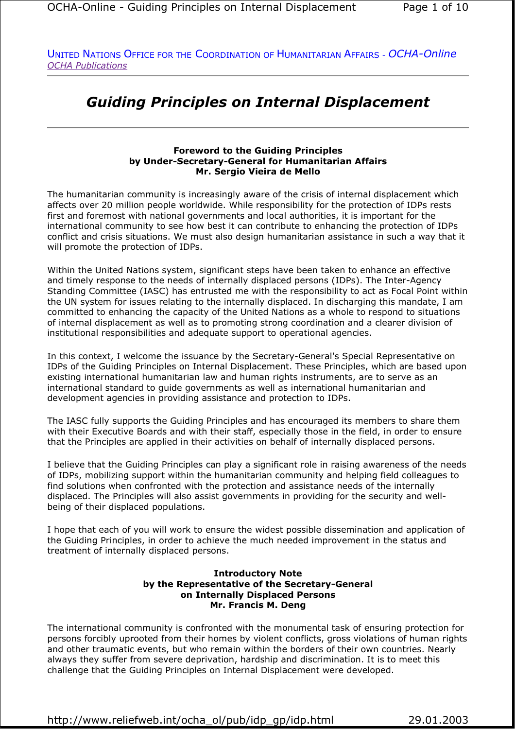UNITED NATIONS OFFICE FOR THE COORDINATION OF HUMANITARIAN AFFAIRS - *OCHA-Online OCHA Publications*

# *Guiding Principles on Internal Displacement*

#### **Foreword to the Guiding Principles by Under-Secretary-General for Humanitarian Affairs Mr. Sergio Vieira de Mello**

The humanitarian community is increasingly aware of the crisis of internal displacement which affects over 20 million people worldwide. While responsibility for the protection of IDPs rests first and foremost with national governments and local authorities, it is important for the international community to see how best it can contribute to enhancing the protection of IDPs conflict and crisis situations. We must also design humanitarian assistance in such a way that it will promote the protection of IDPs.

Within the United Nations system, significant steps have been taken to enhance an effective and timely response to the needs of internally displaced persons (IDPs). The Inter-Agency Standing Committee (IASC) has entrusted me with the responsibility to act as Focal Point within the UN system for issues relating to the internally displaced. In discharging this mandate, I am committed to enhancing the capacity of the United Nations as a whole to respond to situations of internal displacement as well as to promoting strong coordination and a clearer division of institutional responsibilities and adequate support to operational agencies.

In this context, I welcome the issuance by the Secretary-General's Special Representative on IDPs of the Guiding Principles on Internal Displacement. These Principles, which are based upon existing international humanitarian law and human rights instruments, are to serve as an international standard to guide governments as well as international humanitarian and development agencies in providing assistance and protection to IDPs.

The IASC fully supports the Guiding Principles and has encouraged its members to share them with their Executive Boards and with their staff, especially those in the field, in order to ensure that the Principles are applied in their activities on behalf of internally displaced persons.

I believe that the Guiding Principles can play a significant role in raising awareness of the needs of IDPs, mobilizing support within the humanitarian community and helping field colleagues to find solutions when confronted with the protection and assistance needs of the internally displaced. The Principles will also assist governments in providing for the security and wellbeing of their displaced populations.

I hope that each of you will work to ensure the widest possible dissemination and application of the Guiding Principles, in order to achieve the much needed improvement in the status and treatment of internally displaced persons.

#### **Introductory Note by the Representative of the Secretary-General on Internally Displaced Persons Mr. Francis M. Deng**

The international community is confronted with the monumental task of ensuring protection for persons forcibly uprooted from their homes by violent conflicts, gross violations of human rights and other traumatic events, but who remain within the borders of their own countries. Nearly always they suffer from severe deprivation, hardship and discrimination. It is to meet this challenge that the Guiding Principles on Internal Displacement were developed.

## http://www.reliefweb.int/ocha\_ol/pub/idp\_gp/idp.html 29.01.2003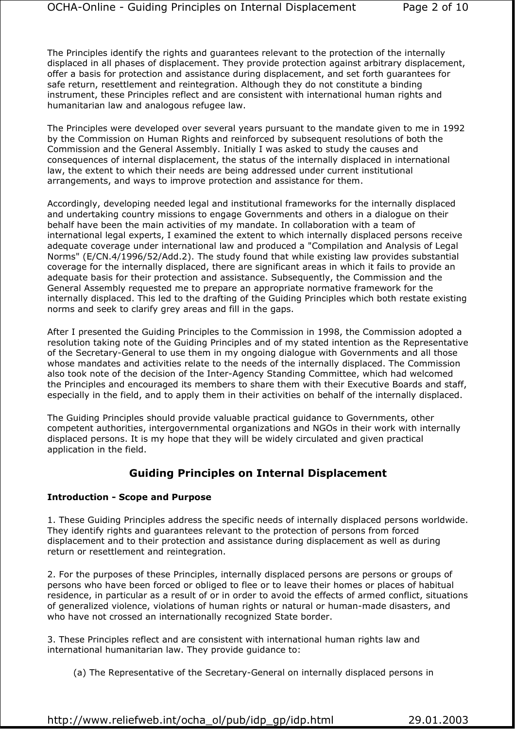The Principles identify the rights and guarantees relevant to the protection of the internally displaced in all phases of displacement. They provide protection against arbitrary displacement, offer a basis for protection and assistance during displacement, and set forth guarantees for safe return, resettlement and reintegration. Although they do not constitute a binding instrument, these Principles reflect and are consistent with international human rights and humanitarian law and analogous refugee law.

The Principles were developed over several years pursuant to the mandate given to me in 1992 by the Commission on Human Rights and reinforced by subsequent resolutions of both the Commission and the General Assembly. Initially I was asked to study the causes and consequences of internal displacement, the status of the internally displaced in international law, the extent to which their needs are being addressed under current institutional arrangements, and ways to improve protection and assistance for them.

Accordingly, developing needed legal and institutional frameworks for the internally displaced and undertaking country missions to engage Governments and others in a dialogue on their behalf have been the main activities of my mandate. In collaboration with a team of international legal experts, I examined the extent to which internally displaced persons receive adequate coverage under international law and produced a "Compilation and Analysis of Legal Norms" (E/CN.4/1996/52/Add.2). The study found that while existing law provides substantial coverage for the internally displaced, there are significant areas in which it fails to provide an adequate basis for their protection and assistance. Subsequently, the Commission and the General Assembly requested me to prepare an appropriate normative framework for the internally displaced. This led to the drafting of the Guiding Principles which both restate existing norms and seek to clarify grey areas and fill in the gaps.

After I presented the Guiding Principles to the Commission in 1998, the Commission adopted a resolution taking note of the Guiding Principles and of my stated intention as the Representative of the Secretary-General to use them in my ongoing dialogue with Governments and all those whose mandates and activities relate to the needs of the internally displaced. The Commission also took note of the decision of the Inter-Agency Standing Committee, which had welcomed the Principles and encouraged its members to share them with their Executive Boards and staff, especially in the field, and to apply them in their activities on behalf of the internally displaced.

The Guiding Principles should provide valuable practical guidance to Governments, other competent authorities, intergovernmental organizations and NGOs in their work with internally displaced persons. It is my hope that they will be widely circulated and given practical application in the field.

# **Guiding Principles on Internal Displacement**

## **Introduction - Scope and Purpose**

1. These Guiding Principles address the specific needs of internally displaced persons worldwide. They identify rights and guarantees relevant to the protection of persons from forced displacement and to their protection and assistance during displacement as well as during return or resettlement and reintegration.

2. For the purposes of these Principles, internally displaced persons are persons or groups of persons who have been forced or obliged to flee or to leave their homes or places of habitual residence, in particular as a result of or in order to avoid the effects of armed conflict, situations of generalized violence, violations of human rights or natural or human-made disasters, and who have not crossed an internationally recognized State border.

3. These Principles reflect and are consistent with international human rights law and international humanitarian law. They provide guidance to:

(a) The Representative of the Secretary-General on internally displaced persons in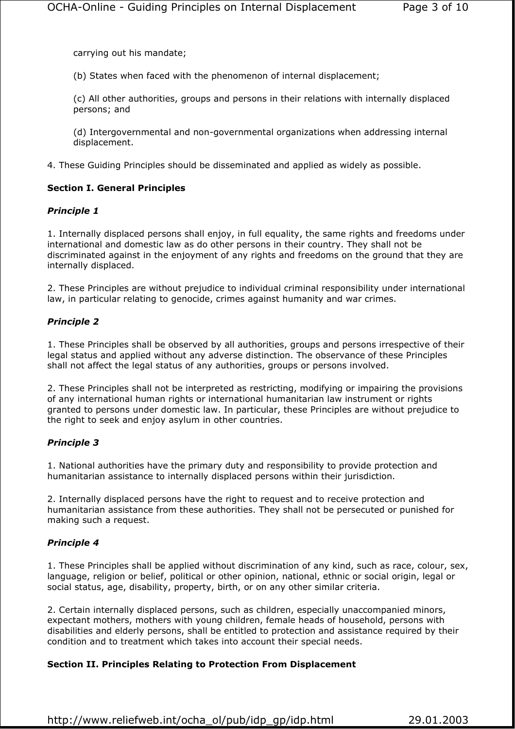carrying out his mandate;

(b) States when faced with the phenomenon of internal displacement;

(c) All other authorities, groups and persons in their relations with internally displaced persons; and

(d) Intergovernmental and non-governmental organizations when addressing internal displacement.

4. These Guiding Principles should be disseminated and applied as widely as possible.

#### **Section I. General Principles**

#### *Principle 1*

1. Internally displaced persons shall enjoy, in full equality, the same rights and freedoms under international and domestic law as do other persons in their country. They shall not be discriminated against in the enjoyment of any rights and freedoms on the ground that they are internally displaced.

2. These Principles are without prejudice to individual criminal responsibility under international law, in particular relating to genocide, crimes against humanity and war crimes.

#### *Principle 2*

1. These Principles shall be observed by all authorities, groups and persons irrespective of their legal status and applied without any adverse distinction. The observance of these Principles shall not affect the legal status of any authorities, groups or persons involved.

2. These Principles shall not be interpreted as restricting, modifying or impairing the provisions of any international human rights or international humanitarian law instrument or rights granted to persons under domestic law. In particular, these Principles are without prejudice to the right to seek and enjoy asylum in other countries.

#### *Principle 3*

1. National authorities have the primary duty and responsibility to provide protection and humanitarian assistance to internally displaced persons within their jurisdiction.

2. Internally displaced persons have the right to request and to receive protection and humanitarian assistance from these authorities. They shall not be persecuted or punished for making such a request.

#### *Principle 4*

1. These Principles shall be applied without discrimination of any kind, such as race, colour, sex, language, religion or belief, political or other opinion, national, ethnic or social origin, legal or social status, age, disability, property, birth, or on any other similar criteria.

2. Certain internally displaced persons, such as children, especially unaccompanied minors, expectant mothers, mothers with young children, female heads of household, persons with disabilities and elderly persons, shall be entitled to protection and assistance required by their condition and to treatment which takes into account their special needs.

#### **Section II. Principles Relating to Protection From Displacement**

http://www.reliefweb.int/ocha\_ol/pub/idp\_gp/idp.html 29.01.2003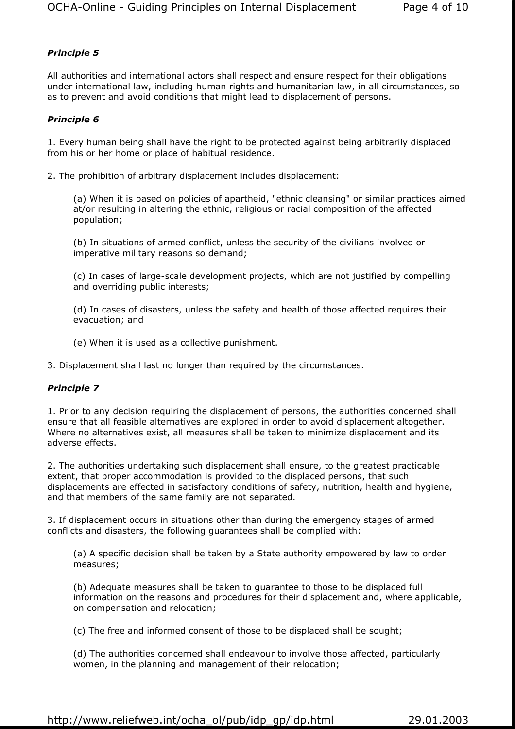## *Principle 5*

All authorities and international actors shall respect and ensure respect for their obligations under international law, including human rights and humanitarian law, in all circumstances, so as to prevent and avoid conditions that might lead to displacement of persons.

## *Principle 6*

1. Every human being shall have the right to be protected against being arbitrarily displaced from his or her home or place of habitual residence.

2. The prohibition of arbitrary displacement includes displacement:

(a) When it is based on policies of apartheid, "ethnic cleansing" or similar practices aimed at/or resulting in altering the ethnic, religious or racial composition of the affected population;

(b) In situations of armed conflict, unless the security of the civilians involved or imperative military reasons so demand;

(c) In cases of large-scale development projects, which are not justified by compelling and overriding public interests;

(d) In cases of disasters, unless the safety and health of those affected requires their evacuation; and

(e) When it is used as a collective punishment.

3. Displacement shall last no longer than required by the circumstances.

## *Principle 7*

1. Prior to any decision requiring the displacement of persons, the authorities concerned shall ensure that all feasible alternatives are explored in order to avoid displacement altogether. Where no alternatives exist, all measures shall be taken to minimize displacement and its adverse effects.

2. The authorities undertaking such displacement shall ensure, to the greatest practicable extent, that proper accommodation is provided to the displaced persons, that such displacements are effected in satisfactory conditions of safety, nutrition, health and hygiene, and that members of the same family are not separated.

3. If displacement occurs in situations other than during the emergency stages of armed conflicts and disasters, the following guarantees shall be complied with:

(a) A specific decision shall be taken by a State authority empowered by law to order measures;

(b) Adequate measures shall be taken to guarantee to those to be displaced full information on the reasons and procedures for their displacement and, where applicable, on compensation and relocation;

(c) The free and informed consent of those to be displaced shall be sought;

(d) The authorities concerned shall endeavour to involve those affected, particularly women, in the planning and management of their relocation;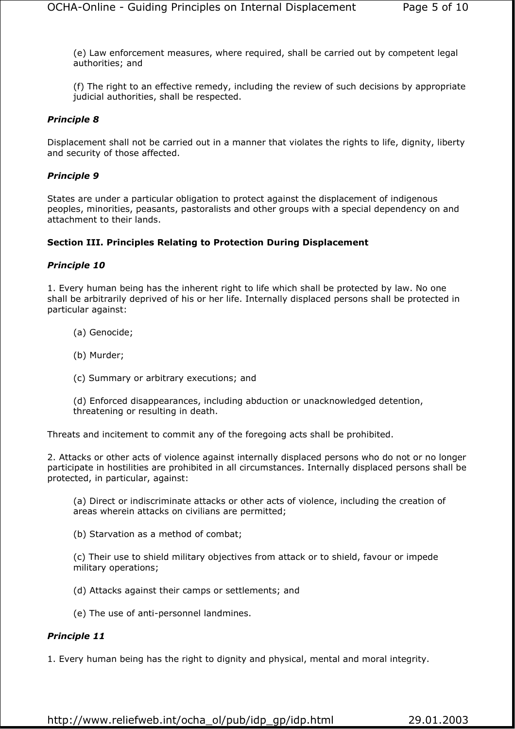(e) Law enforcement measures, where required, shall be carried out by competent legal authorities; and

(f) The right to an effective remedy, including the review of such decisions by appropriate judicial authorities, shall be respected.

#### *Principle 8*

Displacement shall not be carried out in a manner that violates the rights to life, dignity, liberty and security of those affected.

#### *Principle 9*

States are under a particular obligation to protect against the displacement of indigenous peoples, minorities, peasants, pastoralists and other groups with a special dependency on and attachment to their lands.

#### **Section III. Principles Relating to Protection During Displacement**

#### *Principle 10*

1. Every human being has the inherent right to life which shall be protected by law. No one shall be arbitrarily deprived of his or her life. Internally displaced persons shall be protected in particular against:

- (a) Genocide;
- (b) Murder;
- (c) Summary or arbitrary executions; and

(d) Enforced disappearances, including abduction or unacknowledged detention, threatening or resulting in death.

Threats and incitement to commit any of the foregoing acts shall be prohibited.

2. Attacks or other acts of violence against internally displaced persons who do not or no longer participate in hostilities are prohibited in all circumstances. Internally displaced persons shall be protected, in particular, against:

(a) Direct or indiscriminate attacks or other acts of violence, including the creation of areas wherein attacks on civilians are permitted;

(b) Starvation as a method of combat;

(c) Their use to shield military objectives from attack or to shield, favour or impede military operations;

- (d) Attacks against their camps or settlements; and
- (e) The use of anti-personnel landmines.

## *Principle 11*

1. Every human being has the right to dignity and physical, mental and moral integrity.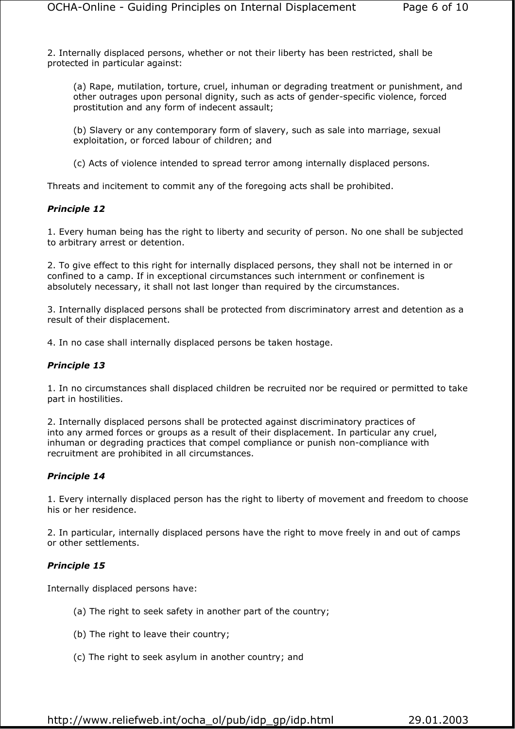2. Internally displaced persons, whether or not their liberty has been restricted, shall be protected in particular against:

(a) Rape, mutilation, torture, cruel, inhuman or degrading treatment or punishment, and other outrages upon personal dignity, such as acts of gender-specific violence, forced prostitution and any form of indecent assault;

(b) Slavery or any contemporary form of slavery, such as sale into marriage, sexual exploitation, or forced labour of children; and

(c) Acts of violence intended to spread terror among internally displaced persons.

Threats and incitement to commit any of the foregoing acts shall be prohibited.

## *Principle 12*

1. Every human being has the right to liberty and security of person. No one shall be subjected to arbitrary arrest or detention.

2. To give effect to this right for internally displaced persons, they shall not be interned in or confined to a camp. If in exceptional circumstances such internment or confinement is absolutely necessary, it shall not last longer than required by the circumstances.

3. Internally displaced persons shall be protected from discriminatory arrest and detention as a result of their displacement.

4. In no case shall internally displaced persons be taken hostage.

## *Principle 13*

1. In no circumstances shall displaced children be recruited nor be required or permitted to take part in hostilities.

2. Internally displaced persons shall be protected against discriminatory practices of into any armed forces or groups as a result of their displacement. In particular any cruel, inhuman or degrading practices that compel compliance or punish non-compliance with recruitment are prohibited in all circumstances.

## *Principle 14*

1. Every internally displaced person has the right to liberty of movement and freedom to choose his or her residence.

2. In particular, internally displaced persons have the right to move freely in and out of camps or other settlements.

## *Principle 15*

Internally displaced persons have:

- (a) The right to seek safety in another part of the country;
- (b) The right to leave their country;
- (c) The right to seek asylum in another country; and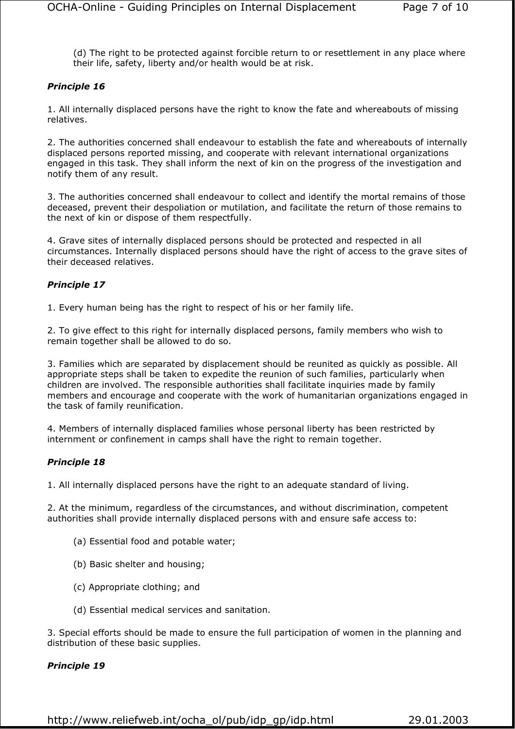(d) The right to be protected against forcible return to or resettlement in any place where their life, safety, liberty and/or health would be at risk.

## *Principle 16*

1. All internally displaced persons have the right to know the fate and whereabouts of missing relatives.

2. The authorities concerned shall endeavour to establish the fate and whereabouts of internally displaced persons reported missing, and cooperate with relevant international organizations engaged in this task. They shall inform the next of kin on the progress of the investigation and notify them of any result.

3. The authorities concerned shall endeavour to collect and identify the mortal remains of those deceased, prevent their despoliation or mutilation, and facilitate the return of those remains to the next of kin or dispose of them respectfully.

4. Grave sites of internally displaced persons should be protected and respected in all circumstances. Internally displaced persons should have the right of access to the grave sites of their deceased relatives.

## *Principle 17*

1. Every human being has the right to respect of his or her family life.

2. To give effect to this right for internally displaced persons, family members who wish to remain together shall be allowed to do so.

3. Families which are separated by displacement should be reunited as quickly as possible. All appropriate steps shall be taken to expedite the reunion of such families, particularly when children are involved. The responsible authorities shall facilitate inquiries made by family members and encourage and cooperate with the work of humanitarian organizations engaged in the task of family reunification.

4. Members of internally displaced families whose personal liberty has been restricted by internment or confinement in camps shall have the right to remain together.

## *Principle 18*

1. All internally displaced persons have the right to an adequate standard of living.

2. At the minimum, regardless of the circumstances, and without discrimination, competent authorities shall provide internally displaced persons with and ensure safe access to:

- (a) Essential food and potable water;
- (b) Basic shelter and housing;
- (c) Appropriate clothing; and
- (d) Essential medical services and sanitation.

3. Special efforts should be made to ensure the full participation of women in the planning and distribution of these basic supplies.

## *Principle 19*

http://www.reliefweb.int/ocha\_ol/pub/idp\_gp/idp.html 29.01.2003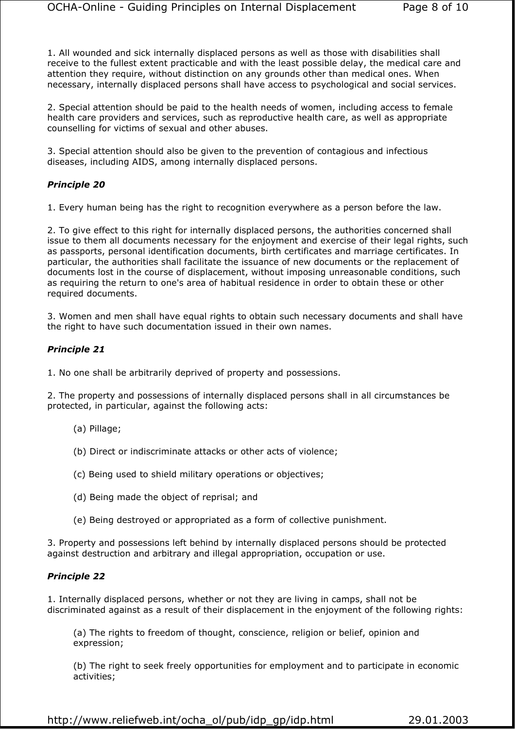1. All wounded and sick internally displaced persons as well as those with disabilities shall receive to the fullest extent practicable and with the least possible delay, the medical care and attention they require, without distinction on any grounds other than medical ones. When necessary, internally displaced persons shall have access to psychological and social services.

2. Special attention should be paid to the health needs of women, including access to female health care providers and services, such as reproductive health care, as well as appropriate counselling for victims of sexual and other abuses.

3. Special attention should also be given to the prevention of contagious and infectious diseases, including AIDS, among internally displaced persons.

## *Principle 20*

1. Every human being has the right to recognition everywhere as a person before the law.

2. To give effect to this right for internally displaced persons, the authorities concerned shall issue to them all documents necessary for the enjoyment and exercise of their legal rights, such as passports, personal identification documents, birth certificates and marriage certificates. In particular, the authorities shall facilitate the issuance of new documents or the replacement of documents lost in the course of displacement, without imposing unreasonable conditions, such as requiring the return to one's area of habitual residence in order to obtain these or other required documents.

3. Women and men shall have equal rights to obtain such necessary documents and shall have the right to have such documentation issued in their own names.

## *Principle 21*

1. No one shall be arbitrarily deprived of property and possessions.

2. The property and possessions of internally displaced persons shall in all circumstances be protected, in particular, against the following acts:

- (a) Pillage;
- (b) Direct or indiscriminate attacks or other acts of violence;
- (c) Being used to shield military operations or objectives;
- (d) Being made the object of reprisal; and
- (e) Being destroyed or appropriated as a form of collective punishment.

3. Property and possessions left behind by internally displaced persons should be protected against destruction and arbitrary and illegal appropriation, occupation or use.

## *Principle 22*

1. Internally displaced persons, whether or not they are living in camps, shall not be discriminated against as a result of their displacement in the enjoyment of the following rights:

(a) The rights to freedom of thought, conscience, religion or belief, opinion and expression;

(b) The right to seek freely opportunities for employment and to participate in economic activities;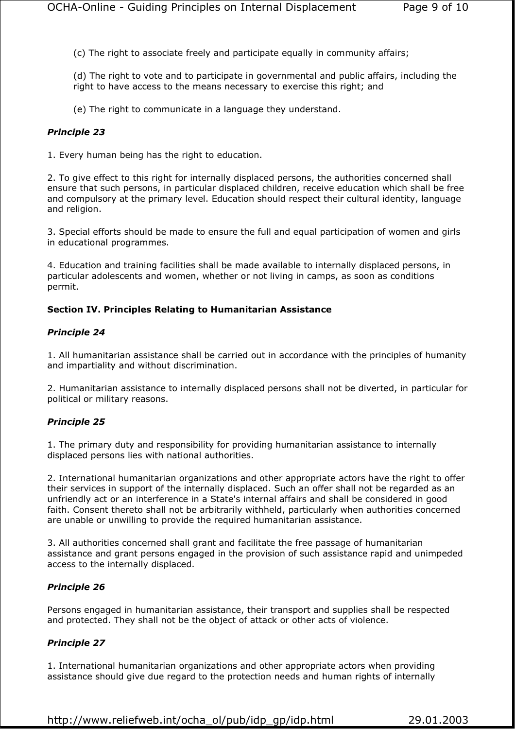(c) The right to associate freely and participate equally in community affairs;

(d) The right to vote and to participate in governmental and public affairs, including the right to have access to the means necessary to exercise this right; and

(e) The right to communicate in a language they understand.

#### *Principle 23*

1. Every human being has the right to education.

2. To give effect to this right for internally displaced persons, the authorities concerned shall ensure that such persons, in particular displaced children, receive education which shall be free and compulsory at the primary level. Education should respect their cultural identity, language and religion.

3. Special efforts should be made to ensure the full and equal participation of women and girls in educational programmes.

4. Education and training facilities shall be made available to internally displaced persons, in particular adolescents and women, whether or not living in camps, as soon as conditions permit.

#### **Section IV. Principles Relating to Humanitarian Assistance**

#### *Principle 24*

1. All humanitarian assistance shall be carried out in accordance with the principles of humanity and impartiality and without discrimination.

2. Humanitarian assistance to internally displaced persons shall not be diverted, in particular for political or military reasons.

#### *Principle 25*

1. The primary duty and responsibility for providing humanitarian assistance to internally displaced persons lies with national authorities.

2. International humanitarian organizations and other appropriate actors have the right to offer their services in support of the internally displaced. Such an offer shall not be regarded as an unfriendly act or an interference in a State's internal affairs and shall be considered in good faith. Consent thereto shall not be arbitrarily withheld, particularly when authorities concerned are unable or unwilling to provide the required humanitarian assistance.

3. All authorities concerned shall grant and facilitate the free passage of humanitarian assistance and grant persons engaged in the provision of such assistance rapid and unimpeded access to the internally displaced.

#### *Principle 26*

Persons engaged in humanitarian assistance, their transport and supplies shall be respected and protected. They shall not be the object of attack or other acts of violence.

#### *Principle 27*

1. International humanitarian organizations and other appropriate actors when providing assistance should give due regard to the protection needs and human rights of internally